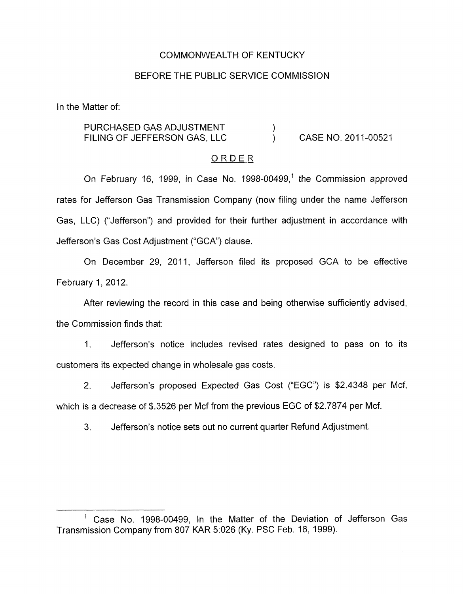# COMMONWEALTH OF KENTUCKY

## BEFORE THE PUBLIC SERVICE COMMISSION

In the Matter of:

#### PURCHASED GAS ADJUSTMENT FILING OF JEFFERSON GAS, LLC )<br>) CASE NO. 2011-00521  $\lambda$

### **ORDER**

On February 16, 1999, in Case No. 1998-00499,' the Commission approved rates for Jefferson Gas Transmission Company (now filing under the name Jefferson Gas, LLC) ("Jefferson") and provided for their further adjustment in accordance with Jefferson's Gas Cost Adjustment ("GCA") clause.

On December 29, 2011, Jefferson filed its proposed GCA to be effective February 1, 2012.

After reviewing the record in this case and being otherwise sufficiently advised, the Commission finds that:

1. Jefferson's notice includes revised rates designed to pass on to its customers its expected change in wholesale gas costs.

2. Jefferson's proposed Expected Gas Cost ("EGC") is \$2.4348 per Mcf, which is a decrease of \$.3526 per Mcf from the previous EGC of \$2.7874 per Mcf.

3. Jefferson's notice sets out no current quarter Refund Adjustment.

<sup>&#</sup>x27; Case No. 1998-00499, In the Matter of the Deviation of Jefferson Gas Transmission Company from 807 KAR 51026 (Ky. PSC Feb. 16, 1999).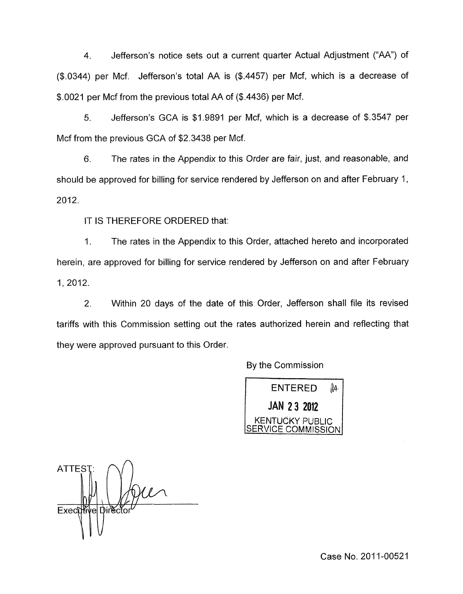4. Jefferson's notice sets out a current quarter Actual Adjustment ("AA") of (\$.0344) per Mcf. Jefferson's total AA is (\$.4457) per Mcf, which is a decrease of \$0021 per Mcf from the previous total AA of (\$.4436) per Mcf.

*5.* Jefferson's GCA is \$1.9891 per Mcf, which is a decrease of \$.3547 per Mcf from the previous GCA of \$2.3438 per Mcf.

6. The rates in the Appendix to this Order are fair, just, and reasonable, and should be approved for billing for service rendered by Jefferson on and after February 1, 2012.

IT IS THEREFORE ORDERED that:

1. The rates in the Appendix to this Order, attached hereto and incorporated herein, are approved for billing for service rendered by Jefferson on and after February 1, 2012.

2. Within 20 days of the date of this Order, Jefferson shall file its revised tariffs with this Commission setting out the rates authorized herein and reflecting that they were approved pursuant to this Order.

By the Commission



**ATTEST** Executive Directo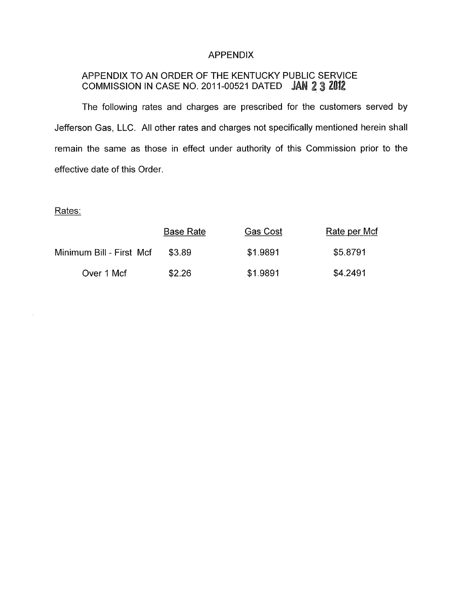# APPENDIX

# APPENDIX TO AN ORDER OF THE KENTUCKY PUBLIC SERVICE COMMISSION IN CASE NO. 2011-00521 DATED JAN 2 3 2012

The following rates and charges are prescribed for the customers served by Jefferson Gas, LLC. All other rates and charges not specifically mentioned herein shall remain the same as those in effect under authority of this Commission prior to the effective date of this Order.

# Rates:

 $\bar{\gamma}$ 

|                          | <b>Base Rate</b> | Gas Cost | Rate per Mcf |
|--------------------------|------------------|----------|--------------|
| Minimum Bill - First Mcf | \$3.89           | \$1.9891 | \$5.8791     |
| Over 1 Mcf               | \$2.26           | \$1.9891 | \$4.2491     |